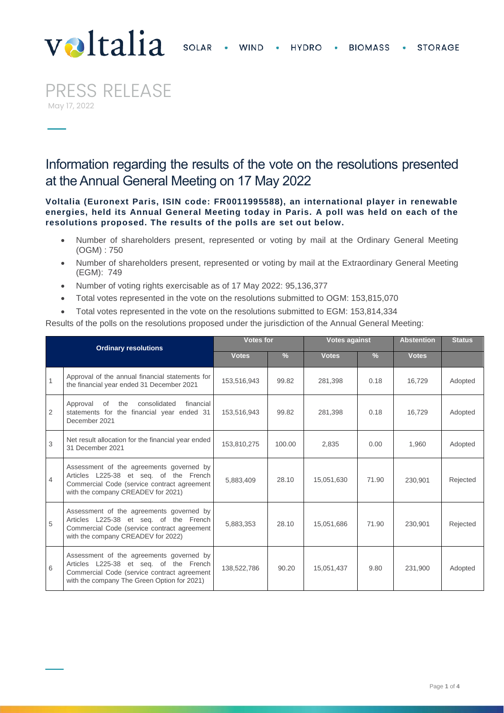## **SOLAR WIND HYDRO BIOMASS STORAGE**



PRESS RELEASE May 17, 2022

Information regarding the results of the vote on the resolutions presented at the Annual General Meeting on 17 May 2022

**Voltalia (Euronext Paris, ISIN code: FR0011995588), an international player in renewable energies, held its Annual General Meeting today in Paris. A poll was held on each of the resolutions proposed. The results of the polls are set out below.**

- Number of shareholders present, represented or voting by mail at the Ordinary General Meeting (OGM) : 750
- Number of shareholders present, represented or voting by mail at the Extraordinary General Meeting (EGM): 749
- Number of voting rights exercisable as of 17 May 2022: 95,136,377
- Total votes represented in the vote on the resolutions submitted to OGM: 153,815,070
- Total votes represented in the vote on the resolutions submitted to EGM: 153,814,334

Results of the polls on the resolutions proposed under the jurisdiction of the Annual General Meeting:

| <b>Ordinary resolutions</b> |                                                                                                                                                                                  | <b>Votes for</b> |               | <b>Votes against</b> |               | <b>Abstention</b> | <b>Status</b> |
|-----------------------------|----------------------------------------------------------------------------------------------------------------------------------------------------------------------------------|------------------|---------------|----------------------|---------------|-------------------|---------------|
|                             |                                                                                                                                                                                  | <b>Votes</b>     | $\frac{0}{6}$ | <b>Votes</b>         | $\frac{0}{6}$ | <b>Votes</b>      |               |
| $\mathbf{1}$                | Approval of the annual financial statements for<br>the financial year ended 31 December 2021                                                                                     | 153,516,943      | 99.82         | 281.398              | 0.18          | 16.729            | Adopted       |
| 2                           | consolidated<br>Approval<br>of<br>the<br>financial<br>statements for the financial year ended 31<br>December 2021                                                                | 153,516,943      | 99.82         | 281.398              | 0.18          | 16.729            | Adopted       |
| 3                           | Net result allocation for the financial year ended<br>31 December 2021                                                                                                           | 153,810,275      | 100.00        | 2,835                | 0.00          | 1,960             | Adopted       |
| 4                           | Assessment of the agreements governed by<br>Articles L225-38 et seg. of the French<br>Commercial Code (service contract agreement<br>with the company CREADEV for 2021)          | 5,883,409        | 28.10         | 15,051,630           | 71.90         | 230.901           | Rejected      |
| 5                           | Assessment of the agreements governed by<br>Articles L225-38 et seg. of the French<br>Commercial Code (service contract agreement<br>with the company CREADEV for 2022)          | 5,883,353        | 28.10         | 15,051,686           | 71.90         | 230,901           | Rejected      |
| 6                           | Assessment of the agreements governed by<br>Articles L225-38 et seq. of the French<br>Commercial Code (service contract agreement<br>with the company The Green Option for 2021) | 138,522,786      | 90.20         | 15,051,437           | 9.80          | 231.900           | Adopted       |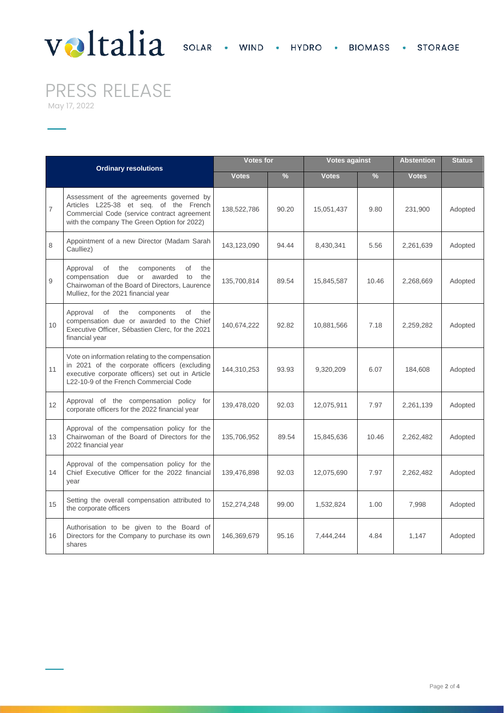## Valtalia SOLAR · WIND · HYDRO · BIOMASS · STORAGE

PRESS RELEASE

May 17, 2022

| <b>Ordinary resolutions</b> |                                                                                                                                                                                                | <b>Votes for</b> |               | <b>Votes against</b> |               | <b>Abstention</b> | <b>Status</b> |
|-----------------------------|------------------------------------------------------------------------------------------------------------------------------------------------------------------------------------------------|------------------|---------------|----------------------|---------------|-------------------|---------------|
|                             |                                                                                                                                                                                                | <b>Votes</b>     | $\frac{9}{6}$ | <b>Votes</b>         | $\frac{9}{6}$ | <b>Votes</b>      |               |
| $\overline{7}$              | Assessment of the agreements governed by<br>Articles L225-38 et seq. of the French<br>Commercial Code (service contract agreement<br>with the company The Green Option for 2022)               | 138,522,786      | 90.20         | 15,051,437           | 9.80          | 231,900           | Adopted       |
| 8                           | Appointment of a new Director (Madam Sarah<br>Caulliez)                                                                                                                                        | 143,123,090      | 94.44         | 8,430,341            | 5.56          | 2,261,639         | Adopted       |
| 9                           | Approval<br>the<br>the<br>of<br>components<br>of<br>compensation<br>due<br>or awarded<br>the<br>to<br>Chairwoman of the Board of Directors, Laurence<br>Mulliez, for the 2021 financial year   | 135,700,814      | 89.54         | 15,845,587           | 10.46         | 2,268,669         | Adopted       |
| 10                          | Approval<br>of<br>the<br>components<br>of<br>the<br>compensation due or awarded to the Chief<br>Executive Officer, Sébastien Clerc, for the 2021<br>financial year                             | 140,674,222      | 92.82         | 10,881,566           | 7.18          | 2,259,282         | Adopted       |
| 11                          | Vote on information relating to the compensation<br>in 2021 of the corporate officers (excluding<br>executive corporate officers) set out in Article<br>L22-10-9 of the French Commercial Code | 144,310,253      | 93.93         | 9,320,209            | 6.07          | 184,608           | Adopted       |
| 12                          | Approval of the compensation policy for<br>corporate officers for the 2022 financial year                                                                                                      | 139,478,020      | 92.03         | 12,075,911           | 7.97          | 2,261,139         | Adopted       |
| 13                          | Approval of the compensation policy for the<br>Chairwoman of the Board of Directors for the<br>2022 financial year                                                                             | 135,706,952      | 89.54         | 15,845,636           | 10.46         | 2,262,482         | Adopted       |
| 14                          | Approval of the compensation policy for the<br>Chief Executive Officer for the 2022 financial<br>year                                                                                          | 139,476,898      | 92.03         | 12,075,690           | 7.97          | 2,262,482         | Adopted       |
| 15                          | Setting the overall compensation attributed to<br>the corporate officers                                                                                                                       | 152,274,248      | 99.00         | 1,532,824            | 1.00          | 7,998             | Adopted       |
| 16                          | Authorisation to be given to the Board of<br>Directors for the Company to purchase its own<br>shares                                                                                           | 146,369,679      | 95.16         | 7,444,244            | 4.84          | 1,147             | Adopted       |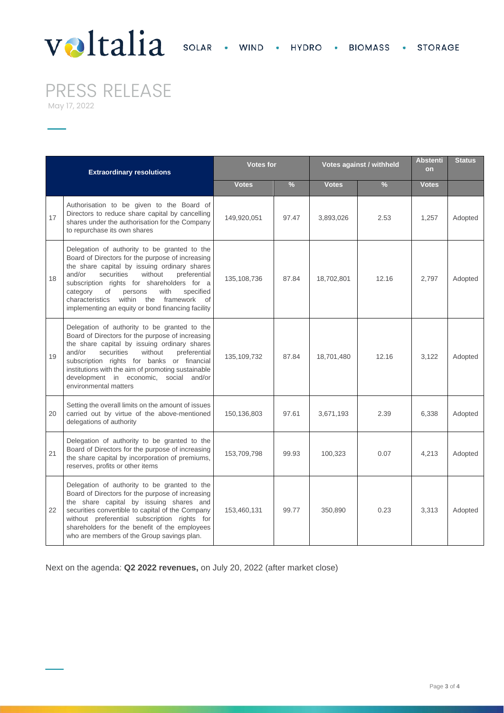## Valtalia SOLAR · WIND · HYDRO · BIOMASS · STORAGE

PRESS RELEASE

May 17, 2022

| <b>Extraordinary resolutions</b> |                                                                                                                                                                                                                                                                                                                                                                                                           | <b>Votes for</b> |               | Votes against / withheld |               | <b>Abstenti</b><br>on | <b>Status</b> |
|----------------------------------|-----------------------------------------------------------------------------------------------------------------------------------------------------------------------------------------------------------------------------------------------------------------------------------------------------------------------------------------------------------------------------------------------------------|------------------|---------------|--------------------------|---------------|-----------------------|---------------|
|                                  |                                                                                                                                                                                                                                                                                                                                                                                                           | <b>Votes</b>     | $\frac{9}{6}$ | <b>Votes</b>             | $\frac{9}{6}$ | <b>Votes</b>          |               |
| 17                               | Authorisation to be given to the Board of<br>Directors to reduce share capital by cancelling<br>shares under the authorisation for the Company<br>to repurchase its own shares                                                                                                                                                                                                                            | 149,920,051      | 97.47         | 3,893,026                | 2.53          | 1,257                 | Adopted       |
| 18                               | Delegation of authority to be granted to the<br>Board of Directors for the purpose of increasing<br>the share capital by issuing ordinary shares<br>and/or<br>securities<br>without<br>preferential<br>subscription rights for shareholders for a<br>of<br>with<br>specified<br>category<br>persons<br>within the framework<br>characteristics<br>of<br>implementing an equity or bond financing facility | 135, 108, 736    | 87.84         | 18,702,801               | 12.16         | 2,797                 | Adopted       |
| 19                               | Delegation of authority to be granted to the<br>Board of Directors for the purpose of increasing<br>the share capital by issuing ordinary shares<br>and/or<br>securities<br>without<br>preferential<br>subscription rights for banks or financial<br>institutions with the aim of promoting sustainable<br>development in economic, social and/or<br>environmental matters                                | 135, 109, 732    | 87.84         | 18,701,480               | 12.16         | 3,122                 | Adopted       |
| 20                               | Setting the overall limits on the amount of issues<br>carried out by virtue of the above-mentioned<br>delegations of authority                                                                                                                                                                                                                                                                            | 150,136,803      | 97.61         | 3,671,193                | 2.39          | 6,338                 | Adopted       |
| 21                               | Delegation of authority to be granted to the<br>Board of Directors for the purpose of increasing<br>the share capital by incorporation of premiums,<br>reserves, profits or other items                                                                                                                                                                                                                   | 153,709,798      | 99.93         | 100,323                  | 0.07          | 4,213                 | Adopted       |
| 22                               | Delegation of authority to be granted to the<br>Board of Directors for the purpose of increasing<br>the share capital by issuing shares and<br>securities convertible to capital of the Company<br>without preferential subscription rights for<br>shareholders for the benefit of the employees<br>who are members of the Group savings plan.                                                            | 153,460,131      | 99.77         | 350,890                  | 0.23          | 3,313                 | Adopted       |

Next on the agenda: **Q2 2022 revenues,** on July 20, 2022 (after market close)